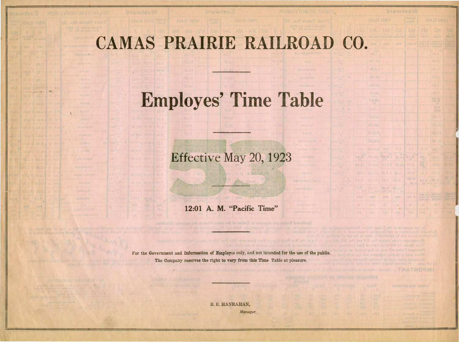## CAMAS PRAIRIE RAILROAD CO

**BOTERN** 

## Employes' Time Table

Effective May 20, 1923

## 12:01 A. M. "Pacific Time"

<sup>2</sup> - ;;;;;r::r.;;;;; · a---~

E'or the Government and Information of Employes only, and not intended for the use of the public. The Company reserves the right to vary from this Time . Table at pleasure.

> R. E. HANRAHAN, *Manager.*

|              | <b>DIGWJ28W</b>      |                               |                               |                                      |                                     |                                                 |                                              |  |  |  |  |  |  |  |  |
|--------------|----------------------|-------------------------------|-------------------------------|--------------------------------------|-------------------------------------|-------------------------------------------------|----------------------------------------------|--|--|--|--|--|--|--|--|
|              |                      | <b>FIRST CLASS</b>            |                               | Second<br><b>BREID</b>               |                                     | <b>ZZAJO GRINT</b>                              |                                              |  |  |  |  |  |  |  |  |
|              | 343                  |                               | 313. 311<br>N.P. Pursuay      | 100<br><b><i><u>htalarit</u></i></b> | 178<br>20gan't                      | <b>Nd8</b><br>internati                         | 花花花<br>penter                                |  |  |  |  |  |  |  |  |
|              | tlist                | <b>Miles</b>                  | <b>Villa</b>                  | $A051 - 33$                          | venlane?<br>исифицан Т<br>Saturday  | <b>EVRAGGIOT</b><br><b>KARLINDA</b><br>gallwda2 | <b>CERAMICA</b><br>STARFORT                  |  |  |  |  |  |  |  |  |
|              | <b>VEA</b><br>06.7   |                               |                               |                                      |                                     | MA<br>08.1                                      |                                              |  |  |  |  |  |  |  |  |
|              | 83.7a                |                               |                               |                                      |                                     | 00.5                                            |                                              |  |  |  |  |  |  |  |  |
|              | <b>US. 8. 2</b>      |                               |                               |                                      |                                     | 跳心                                              |                                              |  |  |  |  |  |  |  |  |
|              | 61.88                |                               |                               |                                      |                                     | 68.0                                            |                                              |  |  |  |  |  |  |  |  |
|              | 80.48                |                               |                               |                                      |                                     | 74.7                                            |                                              |  |  |  |  |  |  |  |  |
|              | 61.08                |                               |                               |                                      |                                     | OC 2                                            |                                              |  |  |  |  |  |  |  |  |
|              | <b>TS.01</b><br>NAM. |                               |                               |                                      |                                     | 98.0                                            |                                              |  |  |  |  |  |  |  |  |
|              | 10.0                 |                               |                               |                                      |                                     | 9亿.8<br>00.01                                   |                                              |  |  |  |  |  |  |  |  |
|              | T1.01a               |                               |                               |                                      |                                     | 00.11                                           |                                              |  |  |  |  |  |  |  |  |
|              | IS OTA               |                               |                               |                                      |                                     | 81.11                                           |                                              |  |  |  |  |  |  |  |  |
|              | 62.011               |                               |                               |                                      |                                     | 62.11                                           |                                              |  |  |  |  |  |  |  |  |
|              | 8.018                |                               |                               |                                      |                                     | 01.11                                           |                                              |  |  |  |  |  |  |  |  |
| $1 - 14$     | 510.45               | <b>性源</b>                     | $\mathcal{H}$ , $\mathcal{H}$ | 刘世                                   | 图示器                                 | 06.11                                           |                                              |  |  |  |  |  |  |  |  |
| 34.7<br>N.B. | Ta.Ofa               | 2.05                          | 88.08                         | <b>BEAM</b><br>01.8                  | 1.25                                | 10.44                                           | (11,5)                                       |  |  |  |  |  |  |  |  |
| 1.82         | 111.02               |                               | 6.15 89.40 72.10              |                                      | 281                                 | 12.05                                           | 7.1 21                                       |  |  |  |  |  |  |  |  |
| O.G          | SL113                |                               | 9.18   2.30                   | OB.U                                 | 心品工                                 | TILET                                           | TN.S.                                        |  |  |  |  |  |  |  |  |
| LR           |                      | VE IT JES CAR                 |                               | 84.0<br>STB MAIL                     | O1.5<br><b>DEE WILE</b>             | 第三 系 1<br>■ 1日 天代   K   A   A   A               | ■広 ご1                                        |  |  |  |  |  |  |  |  |
| м<br>MA      | 48.14                | $Q E_R$<br><b>MAIA AC MAI</b> | (0, 0, 0)<br>$10^{4}$<br>A.   |                                      |                                     | <b>JOU</b>                                      |                                              |  |  |  |  |  |  |  |  |
| <b>CLAND</b> | <b>VitnD</b>         | etta@                         | plind.                        | <b>Fx. Mon</b>                       | realers I - Wednesday<br>Salardness | <b>ARCOVERT</b><br><b>TATALOGE</b>              | 2152200<br><b>CONTROL</b><br><b>EVANTURE</b> |  |  |  |  |  |  |  |  |
| П,           | $c_i = 1$            | 町                             | 55.                           | 捏                                    | 64.7                                | 温下                                              | 711                                          |  |  |  |  |  |  |  |  |
| , QN         | ò yu.                | 1.16                          | 0.36                          | 7.71                                 | 1.21                                | 第 段                                             | V. Att                                       |  |  |  |  |  |  |  |  |